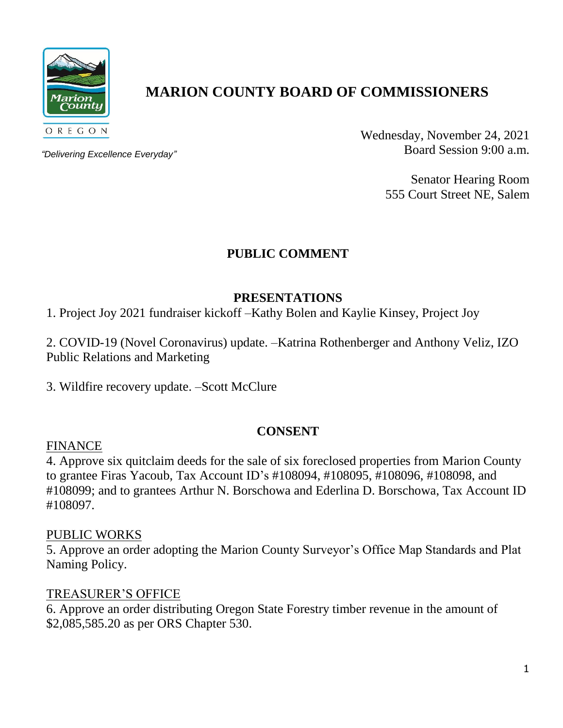

# **MARION COUNTY BOARD OF COMMISSIONERS**

*"Delivering Excellence Everyday"*

Wednesday, November 24, 2021 Board Session 9:00 a.m.

> Senator Hearing Room 555 Court Street NE, Salem

# **PUBLIC COMMENT**

# **PRESENTATIONS**

1. Project Joy 2021 fundraiser kickoff –Kathy Bolen and Kaylie Kinsey, Project Joy

2. COVID-19 (Novel Coronavirus) update. –Katrina Rothenberger and Anthony Veliz, IZO Public Relations and Marketing

3. Wildfire recovery update. –Scott McClure

# **CONSENT**

#### FINANCE

4. Approve six quitclaim deeds for the sale of six foreclosed properties from Marion County to grantee Firas Yacoub, Tax Account ID's #108094, #108095, #108096, #108098, and #108099; and to grantees Arthur N. Borschowa and Ederlina D. Borschowa, Tax Account ID #108097.

## PUBLIC WORKS

5. Approve an order adopting the Marion County Surveyor's Office Map Standards and Plat Naming Policy.

## TREASURER'S OFFICE

6. Approve an order distributing Oregon State Forestry timber revenue in the amount of \$2,085,585.20 as per ORS Chapter 530.